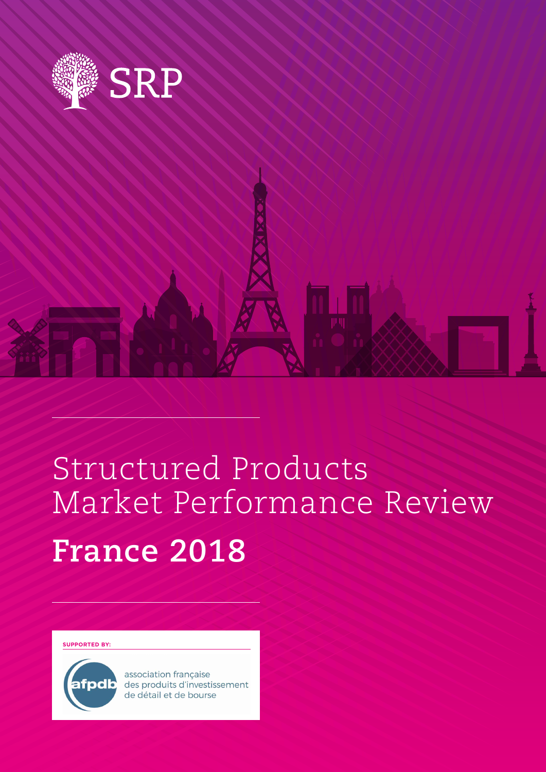

# Structured Products Market Performance Review **France 2018**

**SUPPORTED BY:**



association française des produits d'investissement de détail et de bourse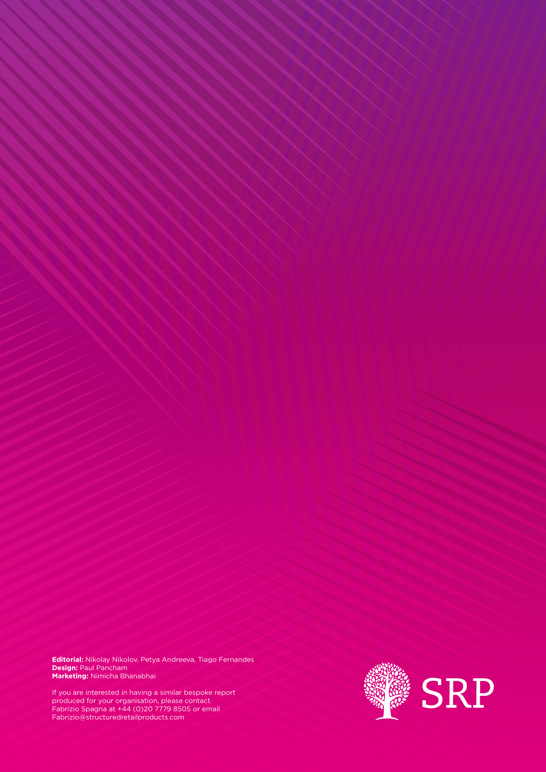**Editorial:** Nikolay Nikolov, Petya Andreeva, Tiago Fernandes **Design:** Paul Pancham **Marketing:** Nimicha Bhanabhai

If you are interested in having a similar bespoke report produced for your organisation, please contact Fabrizio Spagna at +44 (0)20 7779 8505 or email Fabrizio@structuredretailproducts.com

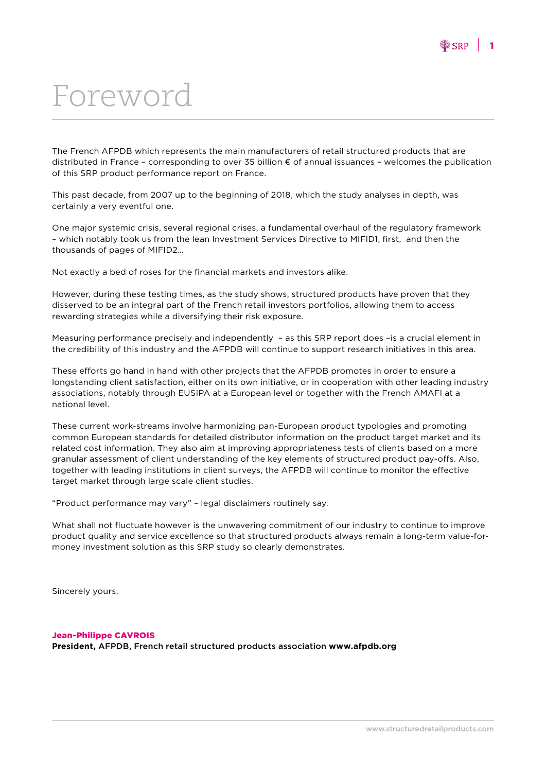### Foreword

The French AFPDB which represents the main manufacturers of retail structured products that are distributed in France – corresponding to over 35 billion € of annual issuances – welcomes the publication of this SRP product performance report on France.

This past decade, from 2007 up to the beginning of 2018, which the study analyses in depth, was certainly a very eventful one.

One major systemic crisis, several regional crises, a fundamental overhaul of the regulatory framework – which notably took us from the lean Investment Services Directive to MIFID1, first, and then the thousands of pages of MIFID2…

Not exactly a bed of roses for the financial markets and investors alike.

However, during these testing times, as the study shows, structured products have proven that they disserved to be an integral part of the French retail investors portfolios, allowing them to access rewarding strategies while a diversifying their risk exposure.

Measuring performance precisely and independently – as this SRP report does –is a crucial element in the credibility of this industry and the AFPDB will continue to support research initiatives in this area.

These efforts go hand in hand with other projects that the AFPDB promotes in order to ensure a longstanding client satisfaction, either on its own initiative, or in cooperation with other leading industry associations, notably through EUSIPA at a European level or together with the French AMAFI at a national level.

These current work-streams involve harmonizing pan-European product typologies and promoting common European standards for detailed distributor information on the product target market and its related cost information. They also aim at improving appropriateness tests of clients based on a more granular assessment of client understanding of the key elements of structured product pay-offs. Also, together with leading institutions in client surveys, the AFPDB will continue to monitor the effective target market through large scale client studies.

"Product performance may vary" – legal disclaimers routinely say.

What shall not fluctuate however is the unwavering commitment of our industry to continue to improve product quality and service excellence so that structured products always remain a long-term value-formoney investment solution as this SRP study so clearly demonstrates.

Sincerely yours,

#### Jean-Philippe CAVROIS **President,** AFPDB, French retail structured products association **www.afpdb.org**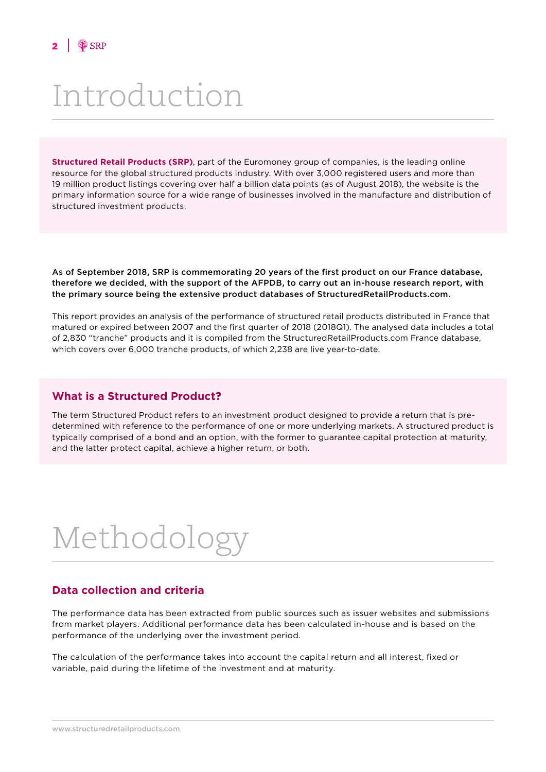### Introduction

**Structured Retail Products (SRP)**, part of the Euromoney group of companies, is the leading online resource for the global structured products industry. With over 3,000 registered users and more than 19 million product listings covering over half a billion data points (as of August 2018), the website is the primary information source for a wide range of businesses involved in the manufacture and distribution of structured investment products.

As of September 2018, SRP is commemorating 20 years of the first product on our France database, therefore we decided, with the support of the AFPDB, to carry out an in-house research report, with the primary source being the extensive product databases of StructuredRetailProducts.com.

This report provides an analysis of the performance of structured retail products distributed in France that matured or expired between 2007 and the first quarter of 2018 (2018Q1). The analysed data includes a total of 2,830 "tranche" products and it is compiled from the StructuredRetailProducts.com France database, which covers over 6,000 tranche products, of which 2,238 are live year-to-date.

#### **What is a Structured Product?**

The term Structured Product refers to an investment product designed to provide a return that is predetermined with reference to the performance of one or more underlying markets. A structured product is typically comprised of a bond and an option, with the former to guarantee capital protection at maturity, and the latter protect capital, achieve a higher return, or both.

# Methodology

#### **Data collection and criteria**

The performance data has been extracted from public sources such as issuer websites and submissions from market players. Additional performance data has been calculated in-house and is based on the performance of the underlying over the investment period.

The calculation of the performance takes into account the capital return and all interest, fixed or variable, paid during the lifetime of the investment and at maturity.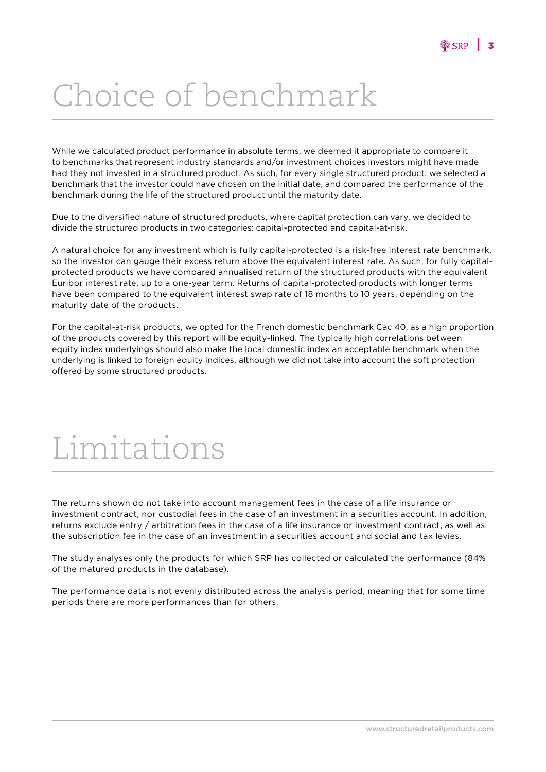# Choice of benchmark

While we calculated product performance in absolute terms, we deemed it appropriate to compare it to benchmarks that represent industry standards and/or investment choices investors might have made had they not invested in a structured product. As such, for every single structured product, we selected a benchmark that the investor could have chosen on the initial date, and compared the performance of the benchmark during the life of the structured product until the maturity date.

Due to the diversified nature of structured products, where capital protection can vary, we decided to divide the structured products in two categories: capital-protected and capital-at-risk.

A natural choice for any investment which is fully capital-protected is a risk-free interest rate benchmark, so the investor can gauge their excess return above the equivalent interest rate. As such, for fully capitalprotected products we have compared annualised return of the structured products with the equivalent Euribor interest rate, up to a one-year term. Returns of capital-protected products with longer terms have been compared to the equivalent interest swap rate of 18 months to 10 years, depending on the maturity date of the products.

For the capital-at-risk products, we opted for the French domestic benchmark Cac 40, as a high proportion of the products covered by this report will be equity-linked. The typically high correlations between equity index underlyings should also make the local domestic index an acceptable benchmark when the underlying is linked to foreign equity indices, although we did not take into account the soft protection offered by some structured products.

### Limitations

The returns shown do not take into account management fees in the case of a life insurance or investment contract, nor custodial fees in the case of an investment in a securities account. In addition, returns exclude entry / arbitration fees in the case of a life insurance or investment contract, as well as the subscription fee in the case of an investment in a securities account and social and tax levies.

The study analyses only the products for which SRP has collected or calculated the performance (84% of the matured products in the database).

The performance data is not evenly distributed across the analysis period, meaning that for some time periods there are more performances than for others.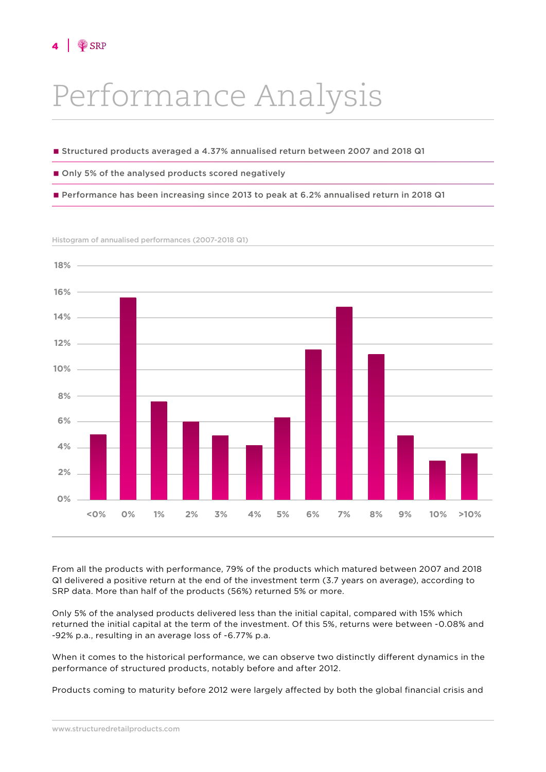## Performance Analysis

- Structured products averaged a 4.37% annualised return between 2007 and 2018 Q1
- Only 5% of the analysed products scored negatively
- Performance has been increasing since 2013 to peak at 6.2% annualised return in 2018 Q1

Histogram of annualised performances (2007-2018 Q1)



From all the products with performance, 79% of the products which matured between 2007 and 2018 Q1 delivered a positive return at the end of the investment term (3.7 years on average), according to SRP data. More than half of the products (56%) returned 5% or more.

Only 5% of the analysed products delivered less than the initial capital, compared with 15% which returned the initial capital at the term of the investment. Of this 5%, returns were between -0.08% and -92% p.a., resulting in an average loss of -6.77% p.a.

When it comes to the historical performance, we can observe two distinctly different dynamics in the performance of structured products, notably before and after 2012.

Products coming to maturity before 2012 were largely affected by both the global financial crisis and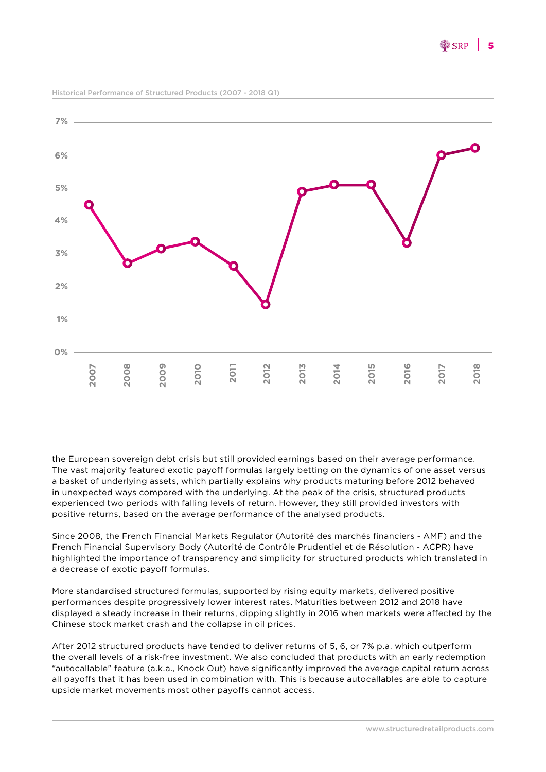**0% 1% 2% 3% 4% 5% 6% 7% 2007 2008 2009 2010 2011 2012 2013 2014 2015 2016 2017 2018**

Historical Performance of Structured Products (2007 - 2018 Q1)

the European sovereign debt crisis but still provided earnings based on their average performance. The vast majority featured exotic payoff formulas largely betting on the dynamics of one asset versus a basket of underlying assets, which partially explains why products maturing before 2012 behaved in unexpected ways compared with the underlying. At the peak of the crisis, structured products experienced two periods with falling levels of return. However, they still provided investors with positive returns, based on the average performance of the analysed products.

Since 2008, the French Financial Markets Regulator (Autorité des marchés financiers - AMF) and the French Financial Supervisory Body (Autorité de Contrôle Prudentiel et de Résolution - ACPR) have highlighted the importance of transparency and simplicity for structured products which translated in a decrease of exotic payoff formulas.

More standardised structured formulas, supported by rising equity markets, delivered positive performances despite progressively lower interest rates. Maturities between 2012 and 2018 have displayed a steady increase in their returns, dipping slightly in 2016 when markets were affected by the Chinese stock market crash and the collapse in oil prices.

After 2012 structured products have tended to deliver returns of 5, 6, or 7% p.a. which outperform the overall levels of a risk-free investment. We also concluded that products with an early redemption "autocallable" feature (a.k.a., Knock Out) have significantly improved the average capital return across all payoffs that it has been used in combination with. This is because autocallables are able to capture upside market movements most other payoffs cannot access.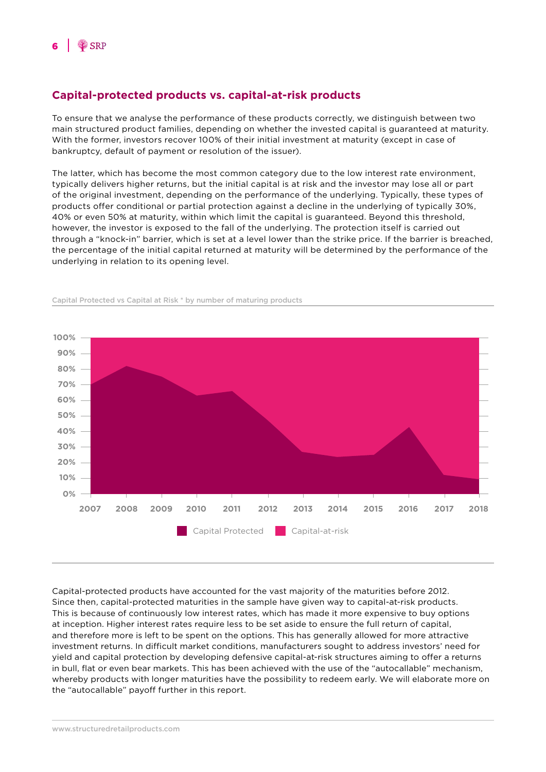#### **Capital-protected products vs. capital-at-risk products**

To ensure that we analyse the performance of these products correctly, we distinguish between two main structured product families, depending on whether the invested capital is guaranteed at maturity. With the former, investors recover 100% of their initial investment at maturity (except in case of bankruptcy, default of payment or resolution of the issuer).

The latter, which has become the most common category due to the low interest rate environment, typically delivers higher returns, but the initial capital is at risk and the investor may lose all or part of the original investment, depending on the performance of the underlying. Typically, these types of products offer conditional or partial protection against a decline in the underlying of typically 30%, 40% or even 50% at maturity, within which limit the capital is guaranteed. Beyond this threshold, however, the investor is exposed to the fall of the underlying. The protection itself is carried out through a "knock-in" barrier, which is set at a level lower than the strike price. If the barrier is breached, the percentage of the initial capital returned at maturity will be determined by the performance of the underlying in relation to its opening level.



Capital Protected vs Capital at Risk \* by number of maturing products

Capital-protected products have accounted for the vast majority of the maturities before 2012. Since then, capital-protected maturities in the sample have given way to capital-at-risk products. This is because of continuously low interest rates, which has made it more expensive to buy options at inception. Higher interest rates require less to be set aside to ensure the full return of capital, and therefore more is left to be spent on the options. This has generally allowed for more attractive investment returns. In difficult market conditions, manufacturers sought to address investors' need for yield and capital protection by developing defensive capital-at-risk structures aiming to offer a returns in bull, flat or even bear markets. This has been achieved with the use of the "autocallable" mechanism, whereby products with longer maturities have the possibility to redeem early. We will elaborate more on the "autocallable" payoff further in this report.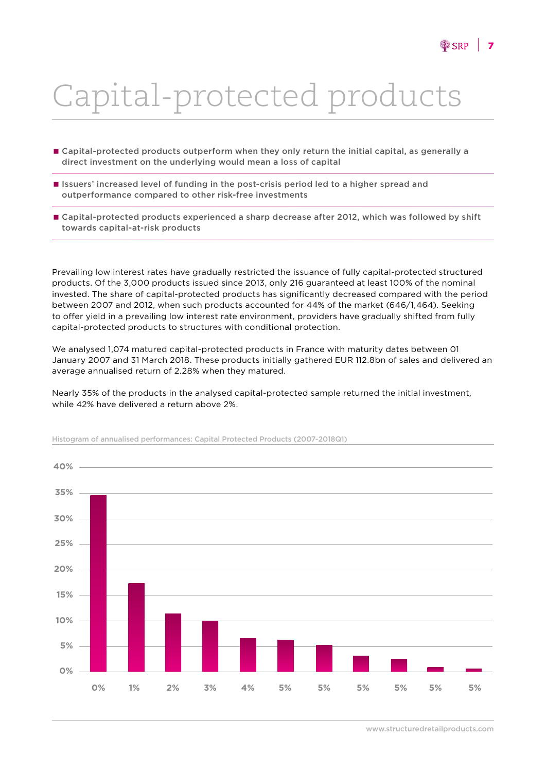# Capital-protected products

- **E** Capital-protected products outperform when they only return the initial capital, as generally a direct investment on the underlying would mean a loss of capital
- Issuers' increased level of funding in the post-crisis period led to a higher spread and outperformance compared to other risk-free investments
- Capital-protected products experienced a sharp decrease after 2012, which was followed by shift towards capital-at-risk products

Prevailing low interest rates have gradually restricted the issuance of fully capital-protected structured products. Of the 3,000 products issued since 2013, only 216 guaranteed at least 100% of the nominal invested. The share of capital-protected products has significantly decreased compared with the period between 2007 and 2012, when such products accounted for 44% of the market (646/1,464). Seeking to offer yield in a prevailing low interest rate environment, providers have gradually shifted from fully capital-protected products to structures with conditional protection.

We analysed 1,074 matured capital-protected products in France with maturity dates between 01 January 2007 and 31 March 2018. These products initially gathered EUR 112.8bn of sales and delivered an average annualised return of 2.28% when they matured.

Nearly 35% of the products in the analysed capital-protected sample returned the initial investment, while 42% have delivered a return above 2%.



Histogram of annualised performances: Capital Protected Products (2007-2018Q1)

www.structuredretailproducts.com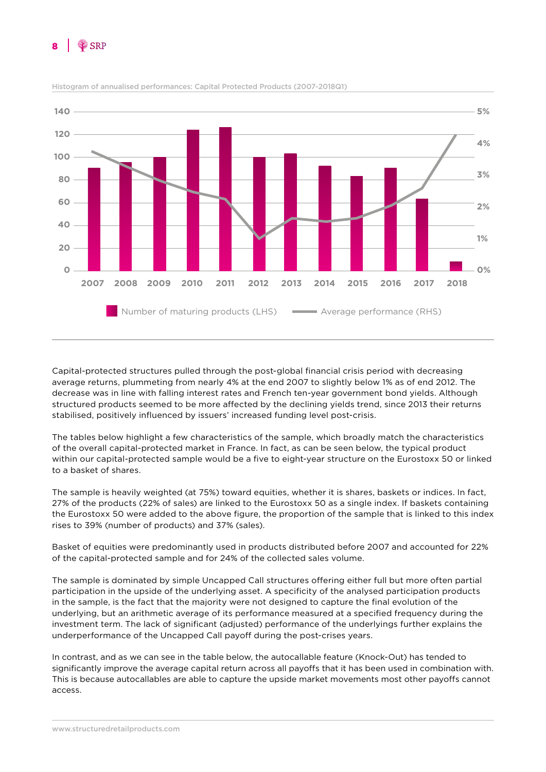



Histogram of annualised performances: Capital Protected Products (2007-2018Q1)

Capital-protected structures pulled through the post-global financial crisis period with decreasing average returns, plummeting from nearly 4% at the end 2007 to slightly below 1% as of end 2012. The decrease was in line with falling interest rates and French ten-year government bond yields. Although structured products seemed to be more affected by the declining yields trend, since 2013 their returns stabilised, positively influenced by issuers' increased funding level post-crisis.

The tables below highlight a few characteristics of the sample, which broadly match the characteristics of the overall capital-protected market in France. In fact, as can be seen below, the typical product within our capital-protected sample would be a five to eight-year structure on the Eurostoxx 50 or linked to a basket of shares.

The sample is heavily weighted (at 75%) toward equities, whether it is shares, baskets or indices. In fact, 27% of the products (22% of sales) are linked to the Eurostoxx 50 as a single index. If baskets containing the Eurostoxx 50 were added to the above figure, the proportion of the sample that is linked to this index rises to 39% (number of products) and 37% (sales).

Basket of equities were predominantly used in products distributed before 2007 and accounted for 22% of the capital-protected sample and for 24% of the collected sales volume.

The sample is dominated by simple Uncapped Call structures offering either full but more often partial participation in the upside of the underlying asset. A specificity of the analysed participation products in the sample, is the fact that the majority were not designed to capture the final evolution of the underlying, but an arithmetic average of its performance measured at a specified frequency during the investment term. The lack of significant (adjusted) performance of the underlyings further explains the underperformance of the Uncapped Call payoff during the post-crises years.

In contrast, and as we can see in the table below, the autocallable feature (Knock-Out) has tended to significantly improve the average capital return across all payoffs that it has been used in combination with. This is because autocallables are able to capture the upside market movements most other payoffs cannot access.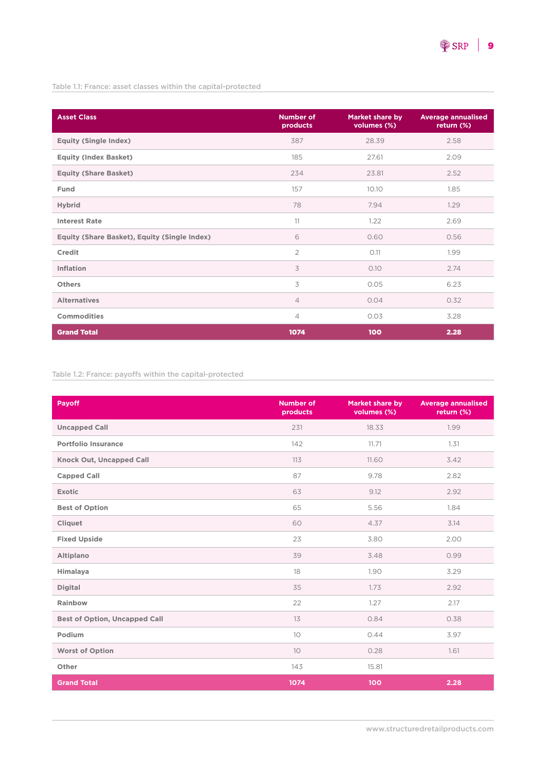Table 1.1: France: asset classes within the capital-protected

| <b>Asset Class</b>                           | <b>Number of</b><br>products | Market share by<br>volumes (%) | <b>Average annualised</b><br>return (%) |
|----------------------------------------------|------------------------------|--------------------------------|-----------------------------------------|
| <b>Equity (Single Index)</b>                 | 387                          | 28.39                          | 2.58                                    |
| <b>Equity (Index Basket)</b>                 | 185                          | 27.61                          | 2.09                                    |
| <b>Equity (Share Basket)</b>                 | 234                          | 23.81                          | 2.52                                    |
| Fund                                         | 157                          | 10.10                          | 1.85                                    |
| <b>Hybrid</b>                                | 78                           | 7.94                           | 1.29                                    |
| <b>Interest Rate</b>                         | 11                           | 1.22                           | 2.69                                    |
| Equity (Share Basket), Equity (Single Index) | 6                            | 0.60                           | 0.56                                    |
| Credit                                       | $\overline{2}$               | 0.11                           | 1.99                                    |
| Inflation                                    | 3                            | 0.10                           | 2.74                                    |
| <b>Others</b>                                | 3                            | 0.05                           | 6.23                                    |
| <b>Alternatives</b>                          | $\overline{4}$               | 0.04                           | 0.32                                    |
| <b>Commodities</b>                           | $\overline{4}$               | 0.03                           | 3.28                                    |
| <b>Grand Total</b>                           | 1074                         | 100                            | 2.28                                    |

#### Table 1.2: France: payoffs within the capital-protected

| <b>Payoff</b>                        | <b>Number of</b><br>products | <b>Market share by</b><br>volumes (%) | <b>Average annualised</b><br>return (%) |
|--------------------------------------|------------------------------|---------------------------------------|-----------------------------------------|
| <b>Uncapped Call</b>                 | 231                          | 18.33                                 | 1.99                                    |
| <b>Portfolio Insurance</b>           | 142                          | 11.71                                 | 1,31                                    |
| <b>Knock Out, Uncapped Call</b>      | 113                          | 11.60                                 | 3.42                                    |
| <b>Capped Call</b>                   | 87                           | 9.78                                  | 2.82                                    |
| <b>Exotic</b>                        | 63                           | 9.12                                  | 2.92                                    |
| <b>Best of Option</b>                | 65                           | 5.56                                  | 1.84                                    |
| <b>Cliquet</b>                       | 60                           | 4.37                                  | 3.14                                    |
| <b>Fixed Upside</b>                  | 23                           | 3.80                                  | 2.00                                    |
| Altiplano                            | 39                           | 3.48                                  | 0.99                                    |
| Himalaya                             | 18                           | 1.90                                  | 3.29                                    |
| <b>Digital</b>                       | 35                           | 1.73                                  | 2.92                                    |
| Rainbow                              | 22                           | 1.27                                  | 2.17                                    |
| <b>Best of Option, Uncapped Call</b> | 13                           | 0.84                                  | 0.38                                    |
| Podium                               | 10                           | 0.44                                  | 3.97                                    |
| <b>Worst of Option</b>               | 10 <sup>°</sup>              | 0.28                                  | 1.61                                    |
| Other                                | 143                          | 15.81                                 |                                         |
| <b>Grand Total</b>                   | 1074                         | 100                                   | 2.28                                    |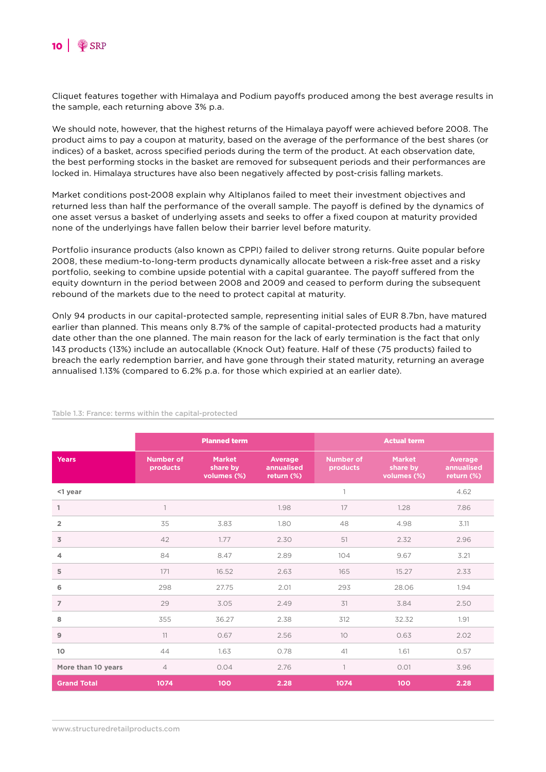

Cliquet features together with Himalaya and Podium payoffs produced among the best average results in the sample, each returning above 3% p.a.

We should note, however, that the highest returns of the Himalaya payoff were achieved before 2008. The product aims to pay a coupon at maturity, based on the average of the performance of the best shares (or indices) of a basket, across specified periods during the term of the product. At each observation date, the best performing stocks in the basket are removed for subsequent periods and their performances are locked in. Himalaya structures have also been negatively affected by post-crisis falling markets.

Market conditions post-2008 explain why Altiplanos failed to meet their investment objectives and returned less than half the performance of the overall sample. The payoff is defined by the dynamics of one asset versus a basket of underlying assets and seeks to offer a fixed coupon at maturity provided none of the underlyings have fallen below their barrier level before maturity.

Portfolio insurance products (also known as CPPI) failed to deliver strong returns. Quite popular before 2008, these medium-to-long-term products dynamically allocate between a risk-free asset and a risky portfolio, seeking to combine upside potential with a capital guarantee. The payoff suffered from the equity downturn in the period between 2008 and 2009 and ceased to perform during the subsequent rebound of the markets due to the need to protect capital at maturity.

Only 94 products in our capital-protected sample, representing initial sales of EUR 8.7bn, have matured earlier than planned. This means only 8.7% of the sample of capital-protected products had a maturity date other than the one planned. The main reason for the lack of early termination is the fact that only 143 products (13%) include an autocallable (Knock Out) feature. Half of these (75 products) failed to breach the early redemption barrier, and have gone through their stated maturity, returning an average annualised 1.13% (compared to 6.2% p.a. for those which expiried at an earlier date).

|                    | <b>Planned term</b>          |                                          |                                            | <b>Actual term</b>           |                                          |                                            |
|--------------------|------------------------------|------------------------------------------|--------------------------------------------|------------------------------|------------------------------------------|--------------------------------------------|
| <b>Years</b>       | <b>Number of</b><br>products | <b>Market</b><br>share by<br>volumes (%) | <b>Average</b><br>annualised<br>return (%) | <b>Number of</b><br>products | <b>Market</b><br>share by<br>volumes (%) | <b>Average</b><br>annualised<br>return (%) |
| <1 year            |                              |                                          |                                            | $\mathbf{1}$                 |                                          | 4.62                                       |
| 1                  | $\mathbb{1}$                 |                                          | 1.98                                       | 17                           | 1.28                                     | 7.86                                       |
| $\overline{2}$     | 35                           | 3.83                                     | 1.80                                       | 48                           | 4.98                                     | 3.11                                       |
| 3                  | 42                           | 1.77                                     | 2.30                                       | 51                           | 2.32                                     | 2.96                                       |
| $\overline{4}$     | 84                           | 8.47                                     | 2.89                                       | 104                          | 9.67                                     | 3.21                                       |
| 5                  | 171                          | 16.52                                    | 2.63                                       | 165                          | 15.27                                    | 2.33                                       |
| 6                  | 298                          | 27.75                                    | 2.01                                       | 293                          | 28.06                                    | 1.94                                       |
| $\overline{7}$     | 29                           | 3.05                                     | 2.49                                       | 31                           | 3.84                                     | 2.50                                       |
| 8                  | 355                          | 36.27                                    | 2.38                                       | 312                          | 32.32                                    | 1.91                                       |
| $\overline{9}$     | 11                           | 0.67                                     | 2.56                                       | 10                           | 0.63                                     | 2.02                                       |
| 10                 | 44                           | 1.63                                     | 0.78                                       | 41                           | 1.61                                     | 0.57                                       |
| More than 10 years | $\overline{4}$               | 0.04                                     | 2.76                                       | 1                            | 0.01                                     | 3.96                                       |
| <b>Grand Total</b> | 1074                         | 100                                      | 2.28                                       | 1074                         | 100                                      | 2.28                                       |

#### Table 1.3: France: terms within the capital-protected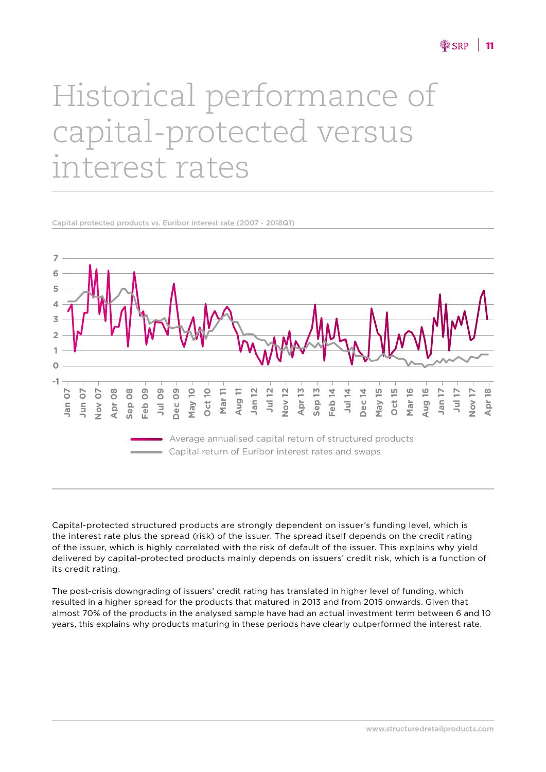## Historical performance of capital-protected versus interest rates

Capital protected products vs. Euribor interest rate (2007 - 2018Q1)



Capital-protected structured products are strongly dependent on issuer's funding level, which is the interest rate plus the spread (risk) of the issuer. The spread itself depends on the credit rating of the issuer, which is highly correlated with the risk of default of the issuer. This explains why yield delivered by capital-protected products mainly depends on issuers' credit risk, which is a function of its credit rating.

The post-crisis downgrading of issuers' credit rating has translated in higher level of funding, which resulted in a higher spread for the products that matured in 2013 and from 2015 onwards. Given that almost 70% of the products in the analysed sample have had an actual investment term between 6 and 10 years, this explains why products maturing in these periods have clearly outperformed the interest rate.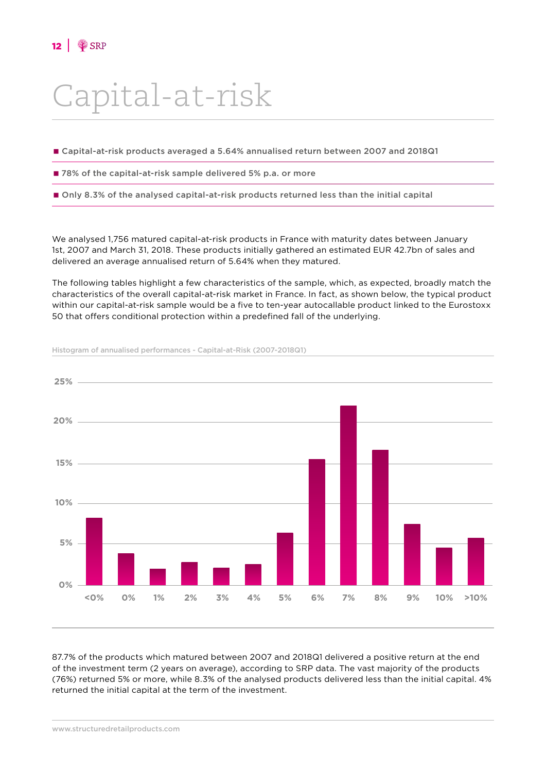### Capital-at-risk

- Capital-at-risk products averaged a 5.64% annualised return between 2007 and 2018Q1
- 78% of the capital-at-risk sample delivered 5% p.a. or more
- Only 8.3% of the analysed capital-at-risk products returned less than the initial capital

We analysed 1,756 matured capital-at-risk products in France with maturity dates between January 1st, 2007 and March 31, 2018. These products initially gathered an estimated EUR 42.7bn of sales and delivered an average annualised return of 5.64% when they matured.

The following tables highlight a few characteristics of the sample, which, as expected, broadly match the characteristics of the overall capital-at-risk market in France. In fact, as shown below, the typical product within our capital-at-risk sample would be a five to ten-year autocallable product linked to the Eurostoxx 50 that offers conditional protection within a predefined fall of the underlying.



Histogram of annualised performances - Capital-at-Risk (2007-2018Q1)

87.7% of the products which matured between 2007 and 2018Q1 delivered a positive return at the end of the investment term (2 years on average), according to SRP data. The vast majority of the products (76%) returned 5% or more, while 8.3% of the analysed products delivered less than the initial capital. 4% returned the initial capital at the term of the investment.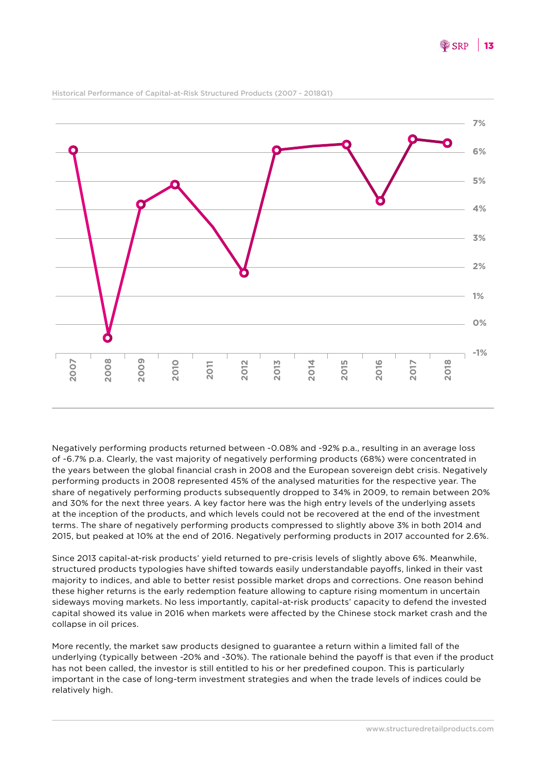

Historical Performance of Capital-at-Risk Structured Products (2007 - 2018Q1)

Negatively performing products returned between -0.08% and -92% p.a., resulting in an average loss of -6.7% p.a. Clearly, the vast majority of negatively performing products (68%) were concentrated in the years between the global financial crash in 2008 and the European sovereign debt crisis. Negatively performing products in 2008 represented 45% of the analysed maturities for the respective year. The share of negatively performing products subsequently dropped to 34% in 2009, to remain between 20% and 30% for the next three years. A key factor here was the high entry levels of the underlying assets at the inception of the products, and which levels could not be recovered at the end of the investment terms. The share of negatively performing products compressed to slightly above 3% in both 2014 and 2015, but peaked at 10% at the end of 2016. Negatively performing products in 2017 accounted for 2.6%.

Since 2013 capital-at-risk products' yield returned to pre-crisis levels of slightly above 6%. Meanwhile, structured products typologies have shifted towards easily understandable payoffs, linked in their vast majority to indices, and able to better resist possible market drops and corrections. One reason behind these higher returns is the early redemption feature allowing to capture rising momentum in uncertain sideways moving markets. No less importantly, capital-at-risk products' capacity to defend the invested capital showed its value in 2016 when markets were affected by the Chinese stock market crash and the collapse in oil prices.

More recently, the market saw products designed to guarantee a return within a limited fall of the underlying (typically between -20% and -30%). The rationale behind the payoff is that even if the product has not been called, the investor is still entitled to his or her predefined coupon. This is particularly important in the case of long-term investment strategies and when the trade levels of indices could be relatively high.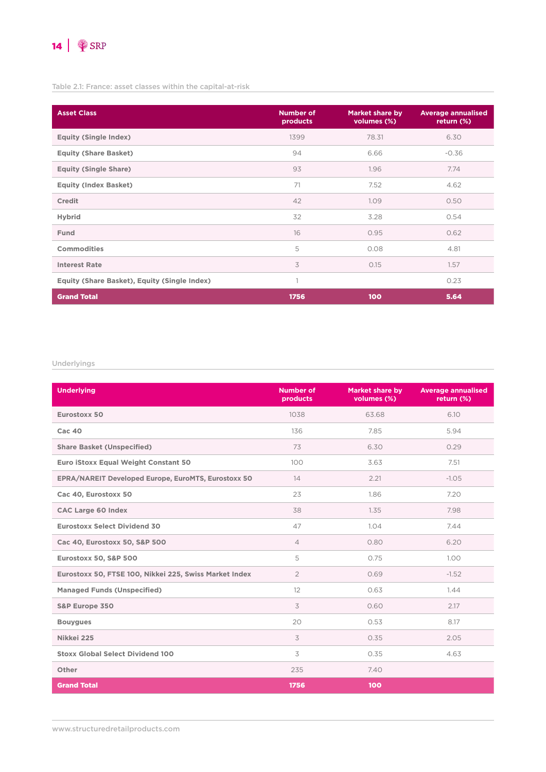

#### Table 2.1: France: asset classes within the capital-at-risk

| <b>Asset Class</b>                           | <b>Number of</b><br>products | <b>Market share by</b><br>volumes (%) | <b>Average annualised</b><br>return (%) |
|----------------------------------------------|------------------------------|---------------------------------------|-----------------------------------------|
| <b>Equity (Single Index)</b>                 | 1399                         | 78.31                                 | 6.30                                    |
| <b>Equity (Share Basket)</b>                 | 94                           | 6.66                                  | $-0.36$                                 |
| <b>Equity (Single Share)</b>                 | 93                           | 1.96                                  | 7.74                                    |
| <b>Equity (Index Basket)</b>                 | 71                           | 7.52                                  | 4.62                                    |
| <b>Credit</b>                                | 42                           | 1.09                                  | 0.50                                    |
| <b>Hybrid</b>                                | 32                           | 3.28                                  | 0.54                                    |
| <b>Fund</b>                                  | 16                           | 0.95                                  | 0.62                                    |
| <b>Commodities</b>                           | 5                            | 0.08                                  | 4.81                                    |
| <b>Interest Rate</b>                         | 3                            | 0.15                                  | 1.57                                    |
| Equity (Share Basket), Equity (Single Index) | 1                            |                                       | 0.23                                    |
| <b>Grand Total</b>                           | 1756                         | 100                                   | 5.64                                    |

#### Underlyings

| <b>Underlying</b>                                      | <b>Number of</b><br>products | <b>Market share by</b><br>volumes (%) | <b>Average annualised</b><br>return (%) |
|--------------------------------------------------------|------------------------------|---------------------------------------|-----------------------------------------|
| Eurostoxx 50                                           | 1038                         | 63.68                                 | 6.10                                    |
| $Cac$ 40                                               | 136                          | 7.85                                  | 5.94                                    |
| <b>Share Basket (Unspecified)</b>                      | 73                           | 6.30                                  | 0.29                                    |
| Euro iStoxx Equal Weight Constant 50                   | 100                          | 3.63                                  | 7.51                                    |
| EPRA/NAREIT Developed Europe, EuroMTS, Eurostoxx 50    | 14                           | 2.21                                  | $-1.05$                                 |
| Cac 40, Eurostoxx 50                                   | 23                           | 1.86                                  | 7.20                                    |
| <b>CAC Large 60 Index</b>                              | 38                           | 1.35                                  | 7.98                                    |
| <b>Eurostoxx Select Dividend 30</b>                    | 47                           | 1.04                                  | 7.44                                    |
| Cac 40, Eurostoxx 50, S&P 500                          | $\overline{4}$               | 0.80                                  | 6.20                                    |
| Eurostoxx 50, S&P 500                                  | 5                            | 0.75                                  | 1.00                                    |
| Eurostoxx 50, FTSE 100, Nikkei 225, Swiss Market Index | $\overline{2}$               | 0.69                                  | $-1.52$                                 |
| <b>Managed Funds (Unspecified)</b>                     | 12                           | 0.63                                  | 1.44                                    |
| S&P Europe 350                                         | 3                            | 0.60                                  | 2.17                                    |
| <b>Bouygues</b>                                        | 20                           | 0.53                                  | 8.17                                    |
| Nikkei 225                                             | 3                            | 0.35                                  | 2.05                                    |
| <b>Stoxx Global Select Dividend 100</b>                | 3                            | 0.35                                  | 4.63                                    |
| Other                                                  | 235                          | 7.40                                  |                                         |
| <b>Grand Total</b>                                     | 1756                         | 100                                   |                                         |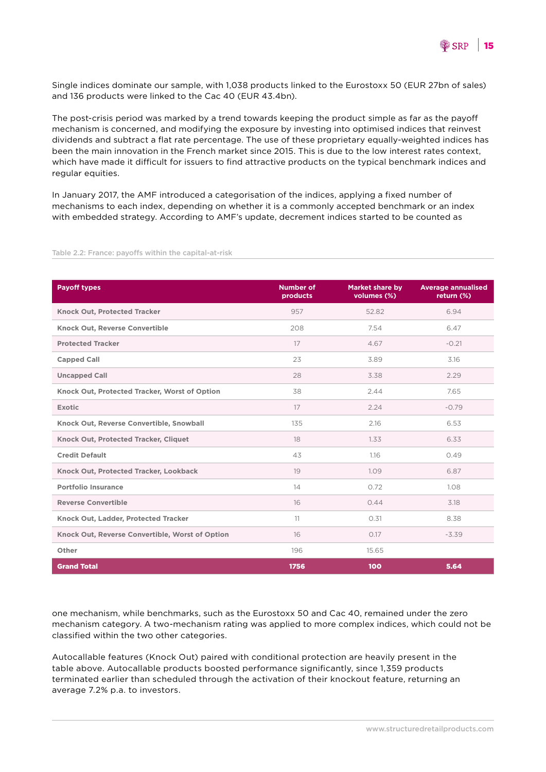

Single indices dominate our sample, with 1,038 products linked to the Eurostoxx 50 (EUR 27bn of sales) and 136 products were linked to the Cac 40 (EUR 43.4bn).

The post-crisis period was marked by a trend towards keeping the product simple as far as the payoff mechanism is concerned, and modifying the exposure by investing into optimised indices that reinvest dividends and subtract a flat rate percentage. The use of these proprietary equally-weighted indices has been the main innovation in the French market since 2015. This is due to the low interest rates context, which have made it difficult for issuers to find attractive products on the typical benchmark indices and regular equities.

In January 2017, the AMF introduced a categorisation of the indices, applying a fixed number of mechanisms to each index, depending on whether it is a commonly accepted benchmark or an index with embedded strategy. According to AMF's update, decrement indices started to be counted as

| <b>Payoff types</b>                             | <b>Number of</b><br>products | <b>Market share by</b><br>volumes (%) | <b>Average annualised</b><br>return (%) |
|-------------------------------------------------|------------------------------|---------------------------------------|-----------------------------------------|
| <b>Knock Out, Protected Tracker</b>             | 957                          | 52.82                                 | 6.94                                    |
| Knock Out, Reverse Convertible                  | 208                          | 7.54                                  | 6.47                                    |
| <b>Protected Tracker</b>                        | 17                           | 4.67                                  | $-0.21$                                 |
| <b>Capped Call</b>                              | 23                           | 3.89                                  | 3.16                                    |
| <b>Uncapped Call</b>                            | 28                           | 3.38                                  | 2.29                                    |
| Knock Out, Protected Tracker, Worst of Option   | 38                           | 2.44                                  | 7.65                                    |
| <b>Exotic</b>                                   | 17                           | 2.24                                  | $-0.79$                                 |
| Knock Out, Reverse Convertible, Snowball        | 135                          | 2.16                                  | 6.53                                    |
| Knock Out, Protected Tracker, Cliquet           | 18                           | 1.33                                  | 6.33                                    |
| <b>Credit Default</b>                           | 43                           | 1.16                                  | 0.49                                    |
| Knock Out, Protected Tracker, Lookback          | 19                           | 1.09                                  | 6.87                                    |
| <b>Portfolio Insurance</b>                      | 14                           | 0.72                                  | 1.08                                    |
| <b>Reverse Convertible</b>                      | 16                           | 0.44                                  | 3.18                                    |
| Knock Out, Ladder, Protected Tracker            | 11                           | 0.31                                  | 8.38                                    |
| Knock Out, Reverse Convertible, Worst of Option | 16                           | 0.17                                  | $-3.39$                                 |
| Other                                           | 196                          | 15.65                                 |                                         |
| <b>Grand Total</b>                              | 1756                         | 100                                   | 5.64                                    |

Table 2.2: France: payoffs within the capital-at-risk

one mechanism, while benchmarks, such as the Eurostoxx 50 and Cac 40, remained under the zero mechanism category. A two-mechanism rating was applied to more complex indices, which could not be classified within the two other categories.

Autocallable features (Knock Out) paired with conditional protection are heavily present in the table above. Autocallable products boosted performance significantly, since 1,359 products terminated earlier than scheduled through the activation of their knockout feature, returning an average 7.2% p.a. to investors.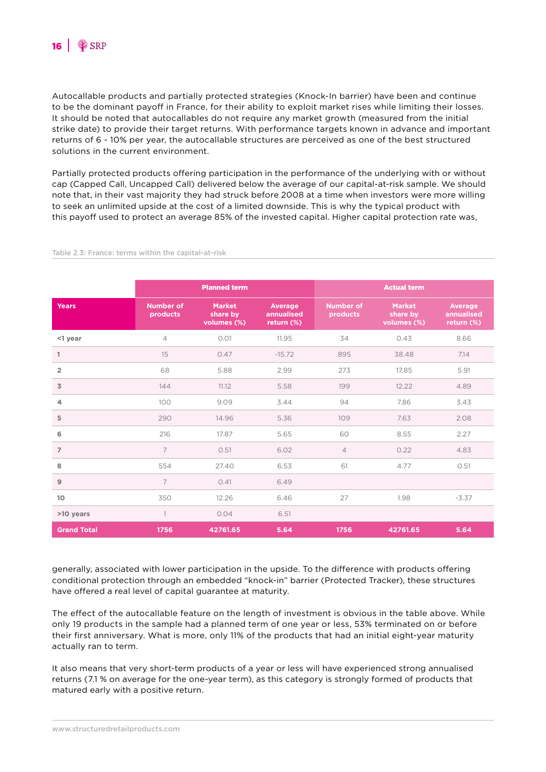Autocallable products and partially protected strategies (Knock-In barrier) have been and continue to be the dominant payoff in France, for their ability to exploit market rises while limiting their losses. It should be noted that autocallables do not require any market growth (measured from the initial strike date) to provide their target returns. With performance targets known in advance and important returns of 6 - 10% per year, the autocallable structures are perceived as one of the best structured solutions in the current environment.

Partially protected products offering participation in the performance of the underlying with or without cap (Capped Call, Uncapped Call) delivered below the average of our capital-at-risk sample. We should note that, in their vast majority they had struck before 2008 at a time when investors were more willing to seek an unlimited upside at the cost of a limited downside. This is why the typical product with this payoff used to protect an average 85% of the invested capital. Higher capital protection rate was,

|                    | <b>Planned term</b>          |                                          |                                     | <b>Actual term</b>           |                                          |                                            |
|--------------------|------------------------------|------------------------------------------|-------------------------------------|------------------------------|------------------------------------------|--------------------------------------------|
| <b>Years</b>       | <b>Number of</b><br>products | <b>Market</b><br>share by<br>volumes (%) | Average<br>annualised<br>return (%) | <b>Number of</b><br>products | <b>Market</b><br>share by<br>volumes (%) | <b>Average</b><br>annualised<br>return (%) |
| <1 year            | $\overline{4}$               | 0.01                                     | 11.95                               | 34                           | 0.43                                     | 8.66                                       |
| 1                  | 15                           | 0.47                                     | $-15.72$                            | 895                          | 38.48                                    | 7.14                                       |
| $\overline{2}$     | 68                           | 5.88                                     | 2.99                                | 273                          | 17.85                                    | 5.91                                       |
| $\overline{3}$     | 144                          | 11.12                                    | 5.58                                | 199                          | 12.22                                    | 4.89                                       |
| $\overline{4}$     | 100                          | 9.09                                     | 3.44                                | 94                           | 7.86                                     | 3.43                                       |
| 5                  | 290                          | 14.96                                    | 5.36                                | 109                          | 7.63                                     | 2.08                                       |
| 6                  | 216                          | 17.87                                    | 5.65                                | 60                           | 8.55                                     | 2.27                                       |
| $\overline{7}$     | 7                            | 0.51                                     | 6.02                                | $\overline{4}$               | 0.22                                     | 4.83                                       |
| 8                  | 554                          | 27.40                                    | 6.53                                | 61                           | 4.77                                     | 0.51                                       |
| $\overline{9}$     | $\overline{7}$               | 0.41                                     | 6.49                                |                              |                                          |                                            |
| 10 <sup>°</sup>    | 350                          | 12.26                                    | 6.46                                | 27                           | 1.98                                     | $-3.37$                                    |
| >10 years          | $\overline{1}$               | 0.04                                     | 6.51                                |                              |                                          |                                            |
| <b>Grand Total</b> | 1756                         | 42761.65                                 | 5.64                                | 1756                         | 42761.65                                 | 5.64                                       |

#### Table 2.3: France: terms within the capital-at-risk

generally, associated with lower participation in the upside. To the difference with products offering conditional protection through an embedded "knock-in" barrier (Protected Tracker), these structures have offered a real level of capital guarantee at maturity.

The effect of the autocallable feature on the length of investment is obvious in the table above. While only 19 products in the sample had a planned term of one year or less, 53% terminated on or before their first anniversary. What is more, only 11% of the products that had an initial eight-year maturity actually ran to term.

It also means that very short-term products of a year or less will have experienced strong annualised returns (7.1 % on average for the one-year term), as this category is strongly formed of products that matured early with a positive return.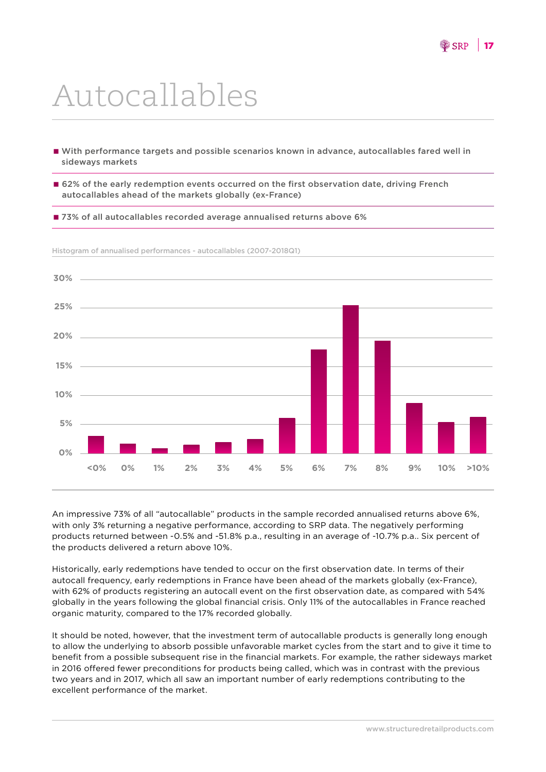## Autocallables

- With performance targets and possible scenarios known in advance, autocallables fared well in sideways markets
- 62% of the early redemption events occurred on the first observation date, driving French autocallables ahead of the markets globally (ex-France)
- 73% of all autocallables recorded average annualised returns above 6%



Histogram of annualised performances - autocallables (2007-2018Q1)

An impressive 73% of all "autocallable" products in the sample recorded annualised returns above 6%, with only 3% returning a negative performance, according to SRP data. The negatively performing products returned between -0.5% and -51.8% p.a., resulting in an average of -10.7% p.a.. Six percent of the products delivered a return above 10%.

Historically, early redemptions have tended to occur on the first observation date. In terms of their autocall frequency, early redemptions in France have been ahead of the markets globally (ex-France), with 62% of products registering an autocall event on the first observation date, as compared with 54% globally in the years following the global financial crisis. Only 11% of the autocallables in France reached organic maturity, compared to the 17% recorded globally.

It should be noted, however, that the investment term of autocallable products is generally long enough to allow the underlying to absorb possible unfavorable market cycles from the start and to give it time to benefit from a possible subsequent rise in the financial markets. For example, the rather sideways market in 2016 offered fewer preconditions for products being called, which was in contrast with the previous two years and in 2017, which all saw an important number of early redemptions contributing to the excellent performance of the market.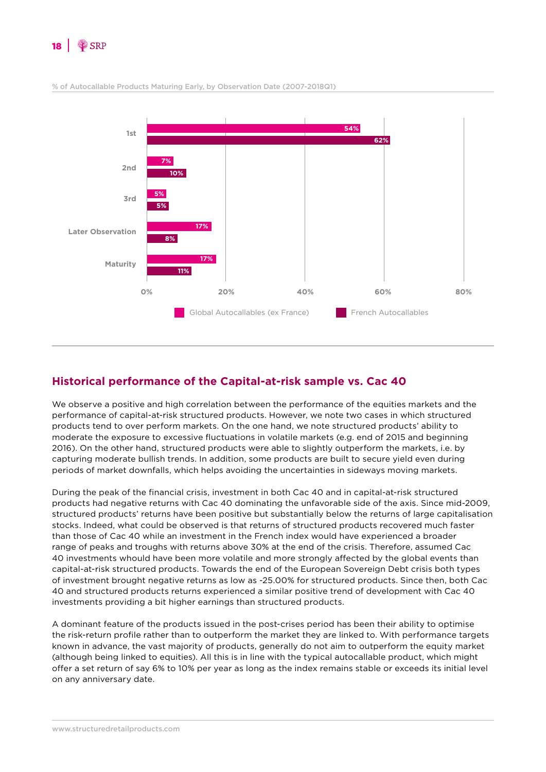



% of Autocallable Products Maturing Early, by Observation Date (2007-2018Q1)

#### **Historical performance of the Capital-at-risk sample vs. Cac 40**

We observe a positive and high correlation between the performance of the equities markets and the performance of capital-at-risk structured products. However, we note two cases in which structured products tend to over perform markets. On the one hand, we note structured products' ability to moderate the exposure to excessive fluctuations in volatile markets (e.g. end of 2015 and beginning 2016). On the other hand, structured products were able to slightly outperform the markets, i.e. by capturing moderate bullish trends. In addition, some products are built to secure yield even during periods of market downfalls, which helps avoiding the uncertainties in sideways moving markets.

During the peak of the financial crisis, investment in both Cac 40 and in capital-at-risk structured products had negative returns with Cac 40 dominating the unfavorable side of the axis. Since mid-2009, structured products' returns have been positive but substantially below the returns of large capitalisation stocks. Indeed, what could be observed is that returns of structured products recovered much faster than those of Cac 40 while an investment in the French index would have experienced a broader range of peaks and troughs with returns above 30% at the end of the crisis. Therefore, assumed Cac 40 investments whould have been more volatile and more strongly affected by the global events than capital-at-risk structured products. Towards the end of the European Sovereign Debt crisis both types of investment brought negative returns as low as -25.00% for structured products. Since then, both Cac 40 and structured products returns experienced a similar positive trend of development with Cac 40 investments providing a bit higher earnings than structured products.

A dominant feature of the products issued in the post-crises period has been their ability to optimise the risk-return profile rather than to outperform the market they are linked to. With performance targets known in advance, the vast majority of products, generally do not aim to outperform the equity market (although being linked to equities). All this is in line with the typical autocallable product, which might offer a set return of say 6% to 10% per year as long as the index remains stable or exceeds its initial level on any anniversary date.

www.structuredretailproducts.com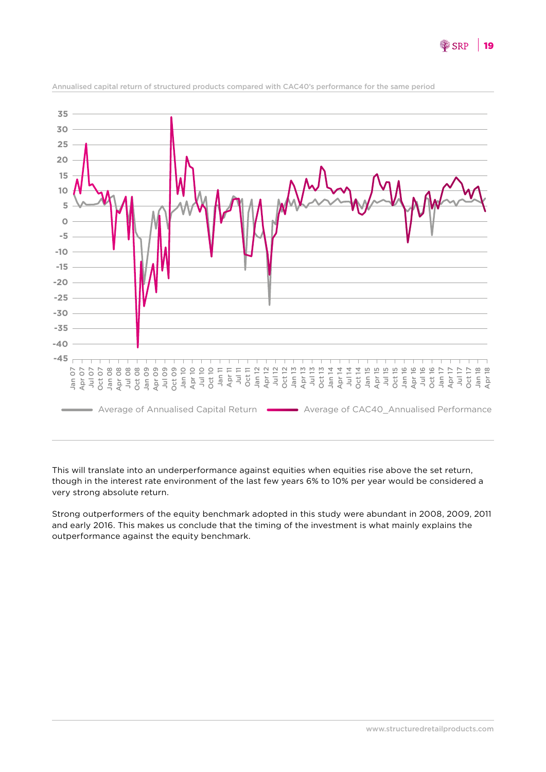



Annualised capital return of structured products compared with CAC40's performance for the same period

This will translate into an underperformance against equities when equities rise above the set return, though in the interest rate environment of the last few years 6% to 10% per year would be considered a very strong absolute return.

Strong outperformers of the equity benchmark adopted in this study were abundant in 2008, 2009, 2011 and early 2016. This makes us conclude that the timing of the investment is what mainly explains the outperformance against the equity benchmark.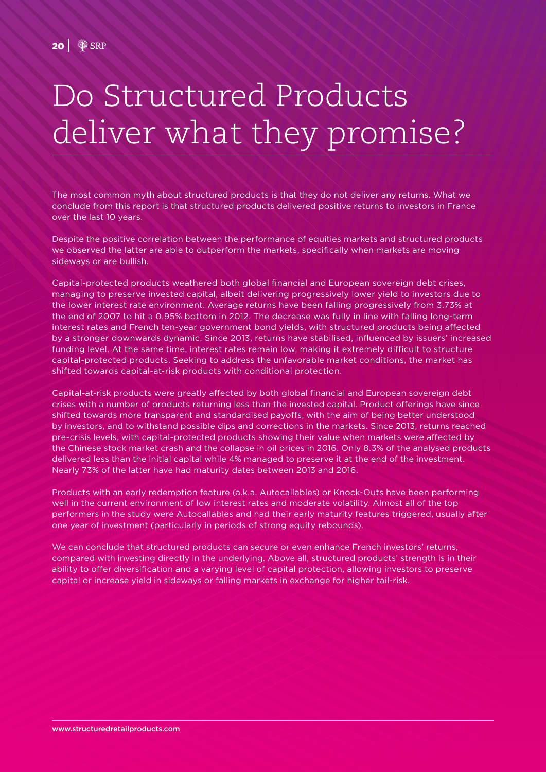## Do Structured Products deliver what they promise?

The most common myth about structured products is that they do not deliver any returns. What we conclude from this report is that structured products delivered positive returns to investors in France over the last 10 years.

Despite the positive correlation between the performance of equities markets and structured products we observed the latter are able to outperform the markets, specifically when markets are moving sideways or are bullish.

Capital-protected products weathered both global financial and European sovereign debt crises, managing to preserve invested capital, albeit delivering progressively lower yield to investors due to the lower interest rate environment. Average returns have been falling progressively from 3.73% at the end of 2007 to hit a 0.95% bottom in 2012. The decrease was fully in line with falling long-term interest rates and French ten-year government bond yields, with structured products being affected by a stronger downwards dynamic. Since 2013, returns have stabilised, influenced by issuers' increased funding level. At the same time, interest rates remain low, making it extremely difficult to structure capital-protected products. Seeking to address the unfavorable market conditions, the market has shifted towards capital-at-risk products with conditional protection.

Capital-at-risk products were greatly affected by both global financial and European sovereign debt crises with a number of products returning less than the invested capital. Product offerings have since shifted towards more transparent and standardised payoffs, with the aim of being better understood by investors, and to withstand possible dips and corrections in the markets. Since 2013, returns reached pre-crisis levels, with capital-protected products showing their value when markets were affected by the Chinese stock market crash and the collapse in oil prices in 2016. Only 8.3% of the analysed products delivered less than the initial capital while 4% managed to preserve it at the end of the investment. Nearly 73% of the latter have had maturity dates between 2013 and 2016.

Products with an early redemption feature (a.k.a. Autocallables) or Knock-Outs have been performing well in the current environment of low interest rates and moderate volatility. Almost all of the top performers in the study were Autocallables and had their early maturity features triggered, usually after one year of investment (particularly in periods of strong equity rebounds).

We can conclude that structured products can secure or even enhance French investors' returns, compared with investing directly in the underlying. Above all, structured products' strength is in their ability to offer diversification and a varying level of capital protection, allowing investors to preserve capital or increase yield in sideways or falling markets in exchange for higher tail-risk.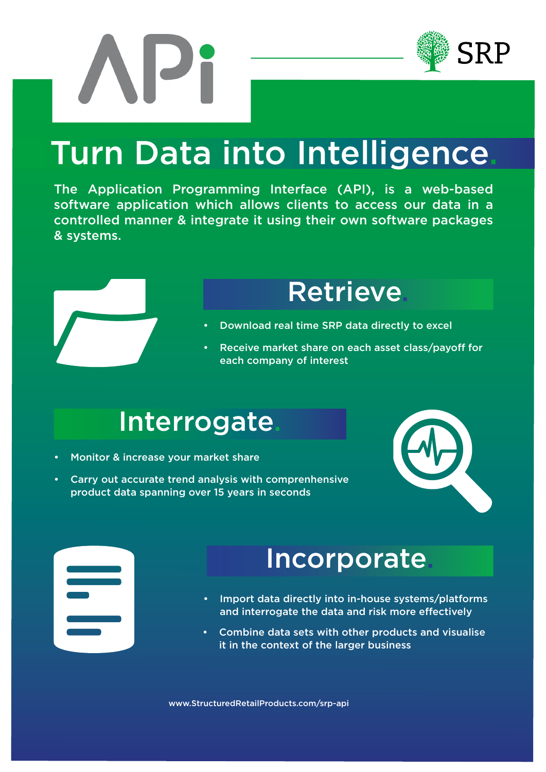



### Turn Data into Intelligence.

The Application Programming Interface (API), is a web-based software application which allows clients to access our data in a controlled manner & integrate it using their own software packages & systems.



#### **Retrieve**

- Download real time SRP data directly to excel
- Receive market share on each asset class/payoff for each company of interest

#### **Interrogate**

- Monitor & increase your market share
- Carry out accurate trend analysis with comprenhensive product data spanning over 15 years in seconds



#### **Incorporate**

- Import data directly into in-house systems/platforms and interrogate the data and risk more effectively
- Combine data sets with other products and visualise it in the context of the larger business